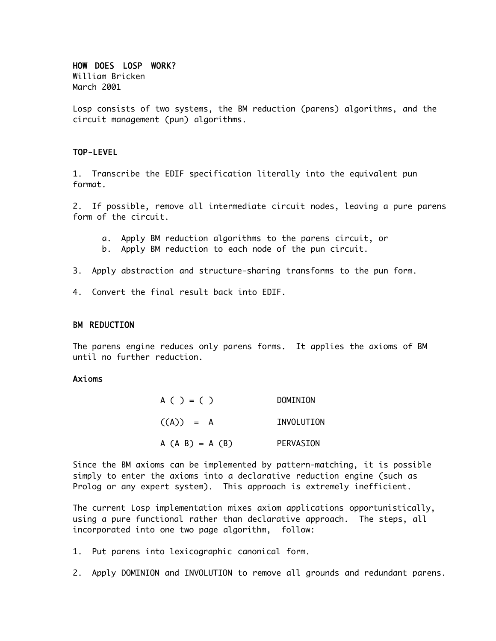# HOW DOES LOSP WORK?

William Bricken March 2001

Losp consists of two systems, the BM reduction (parens) algorithms, and the circuit management (pun) algorithms.

# TOP-LEVEL

1. Transcribe the EDIF specification literally into the equivalent pun format.

2. If possible, remove all intermediate circuit nodes, leaving a pure parens form of the circuit.

- a. Apply BM reduction algorithms to the parens circuit, or
- b. Apply BM reduction to each node of the pun circuit.
- 3. Apply abstraction and structure-sharing transforms to the pun form.
- 4. Convert the final result back into EDIF.

### BM REDUCTION

The parens engine reduces only parens forms. It applies the axioms of BM until no further reduction.

## Axioms

| A ( ) = ( )       | DOMINION          |
|-------------------|-------------------|
| $((A)) = A$       | <b>TNVOLUTTON</b> |
| $A (A B) = A (B)$ | PERVASION         |

Since the BM axioms can be implemented by pattern-matching, it is possible simply to enter the axioms into a declarative reduction engine (such as Prolog or any expert system). This approach is extremely inefficient.

The current Losp implementation mixes axiom applications opportunistically, using a pure functional rather than declarative approach. The steps, all incorporated into one two page algorithm, follow:

1. Put parens into lexicographic canonical form.

2. Apply DOMINION and INVOLUTION to remove all grounds and redundant parens.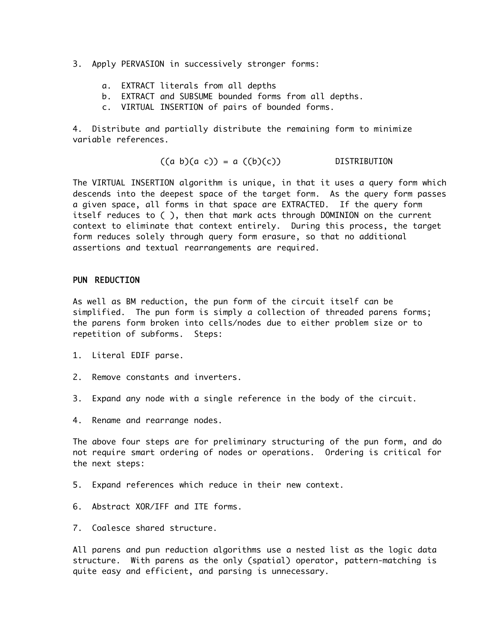- 3. Apply PERVASION in successively stronger forms:
	- a. EXTRACT literals from all depths
	- b. EXTRACT and SUBSUME bounded forms from all depths.
	- c. VIRTUAL INSERTION of pairs of bounded forms.

4. Distribute and partially distribute the remaining form to minimize variable references.

$$
((a b)(a c)) = a ((b)(c))
$$
 DISTRIBUTION

The VIRTUAL INSERTION algorithm is unique, in that it uses a query form which descends into the deepest space of the target form. As the query form passes a given space, all forms in that space are EXTRACTED. If the query form itself reduces to ( ), then that mark acts through DOMINION on the current context to eliminate that context entirely. During this process, the target form reduces solely through query form erasure, so that no additional assertions and textual rearrangements are required.

#### PUN REDUCTION

As well as BM reduction, the pun form of the circuit itself can be simplified. The pun form is simply a collection of threaded parens forms; the parens form broken into cells/nodes due to either problem size or to repetition of subforms. Steps:

- 1. Literal EDIF parse.
- 2. Remove constants and inverters.
- 3. Expand any node with a single reference in the body of the circuit.
- 4. Rename and rearrange nodes.

The above four steps are for preliminary structuring of the pun form, and do not require smart ordering of nodes or operations. Ordering is critical for the next steps:

- 5. Expand references which reduce in their new context.
- 6. Abstract XOR/IFF and ITE forms.
- 7. Coalesce shared structure.

All parens and pun reduction algorithms use a nested list as the logic data structure. With parens as the only (spatial) operator, pattern-matching is quite easy and efficient, and parsing is unnecessary.